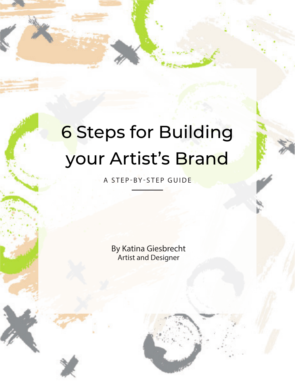# 6 Steps for Building your Artist's Brand

A STEP-BY-STEP GUIDE

By Katina Giesbrecht Artist and Designer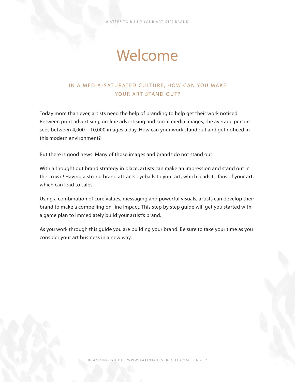STEPS TO BUILD YOUR ARTIST'S BRAND

## Welcome

## IN A MEDIA-SATURATED CULTURE, HOW CAN YOU MAKE YOUR ART STAND OUT?

Today more than ever, artists need the help of branding to help get their work noticed. Between print advertising, on-line advertising and social media images, the average person sees between 4,000—10,000 images a day. How can your work stand out and get noticed in this modern environment?

But there is good news! Many of those images and brands do not stand out.

With a thought out brand strategy in place, artists can make an impression and stand out in the crowd! Having a strong brand attracts eyeballs to your art, which leads to fans of your art, which can lead to sales.

Using a combination of core values, messaging and powerful visuals, artists can develop their brand to make a compelling on-line impact. This step by step guide will get you started with a game plan to immediately build your artist's brand.

As you work through this guide you are building your brand. Be sure to take your time as you consider your art business in a new way.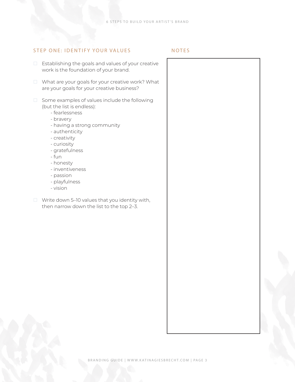#### STEP ONE: IDENTIFY YOUR VALUES NOTES

- $\Box$  Establishing the goals and values of your creative work is the foundation of your brand.
- $\Box$  What are your goals for your creative work? What are your goals for your creative business?
- $\Box$  Some examples of values include the following (but the list is endless):
	- fearlessness
	- bravery
	- having a strong community
	- authenticity
	- creativity
	- curiosity
	- gratefulness
	- fun
	- honesty
	- inventiveness
	- passion
	- playfulness
	- vision
- $\Box$  Write down 5-10 values that you identity with, then narrow down the list to the top 2–3.

BRANDING GUIDE | WWW.KATINAGIESBRECHT.COM | PAGE 3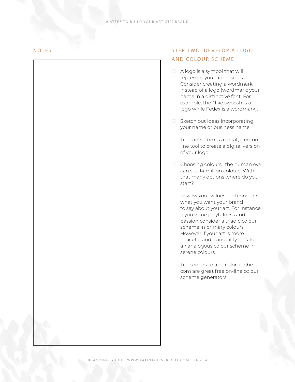## NOTES STEP TWO: DEVELOP A LOGO AND COLOUR SCHEME

- $\Box$  A logo is a symbol that will represent your art business. Consider creating a wordmark instead of a logo (wordmark: your name in a distinctive font. For example: the Nike swoosh is a logo while Fedex is a wordmark).
- $\Box$  Sketch out ideas incorporating your name or business name.

Tip: canva.com is a great, free, online tool to create a digital version of your logo.

 $\Box$  Choosing colours: the human eye can see 14 million colours. With that many options where do you start?

Review your values and consider what you want your brand to say about your art. For instance if you value playfulness and passion consider a triadic colour scheme in primary colours. However if your art is more peaceful and tranquility look to an analogous colour scheme in serene colours.

Tip: coolors.co and color.adobe. com are great free on-line colour scheme generators.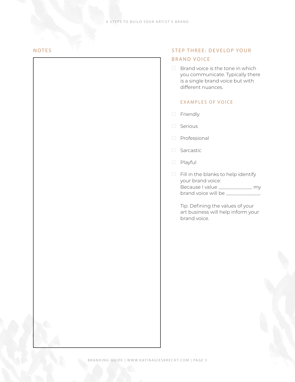#### NOTES

## STEP THREE: DEVELOP YOUR BRAND VOICE

 $\Box$  Brand voice is the tone in which you communicate. Typically there is a single brand voice but with different nuances.

### EXAMPLES OF VOICE

- **Friendly**
- $\Box$  Serious
- **Professional**
- □ Sarcastic
- Playful
- $\Box$  Fill in the blanks to help identify your brand voice: Because I value \_\_\_\_\_\_\_\_\_\_\_\_\_\_ my brand voice will be \_\_\_\_\_\_\_\_\_\_\_\_\_\_.

Tip: Defining the values of your art business will help inform your brand voice.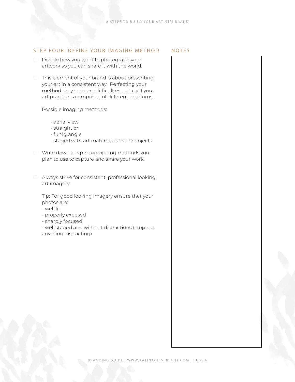#### STEP FOUR: DEFINE YOUR IMAGING METHOD NOTES

- $\Box$  Decide how you want to photograph your artwork so you can share it with the world.
- $\Box$  This element of your brand is about presenting your art in a consistent way. Perfecting your method may be more difficult especially if your art practice is comprised of different mediums.

#### Possible imaging methods:

- aerial view
- straight on
- funky angle
- staged with art materials or other objects
- □ Write down 2–3 photographing methods you plan to use to capture and share your work.
- Always strive for consistent, professional looking art imagery

Tip: For good looking imagery ensure that your photos are:

- well lit
- properly exposed
- sharply focused

- well staged and without distractions (crop out anything distracting)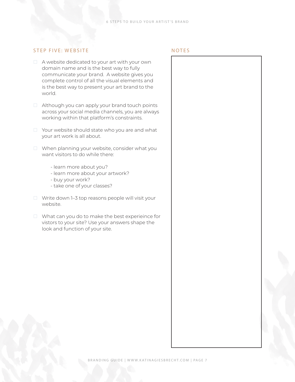#### STEP FIVE: WEBSITE NOTES

- $\Box$  A website dedicated to your art with your own domain name and is the best way to fully communicate your brand. A website gives you complete control of all the visual elements and is the best way to present your art brand to the world.
- $\Box$  Although you can apply your brand touch points across your social media channels, you are always working within that platform's constraints.
- $\Box$  Your website should state who you are and what your art work is all about.
- □ When planning your website, consider what you want visitors to do while there:
	- learn more about you?
	- learn more about your artwork?
	- buy your work?
	- take one of your classes?
- $\Box$  Write down 1–3 top reasons people will visit your website.
- $\Box$  What can you do to make the best experieince for vistors to your site? Use your answers shape the look and function of your site.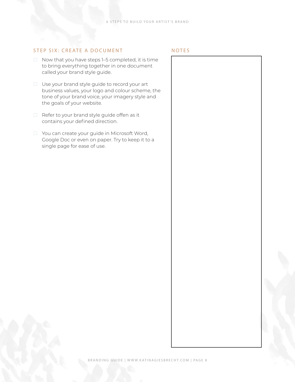#### STEP SIX: CREATE A DOCUMENT NOTES

- $\Box$  Now that you have steps 1–5 completed, it is time to bring everything together in one document called your brand style guide.
- $\Box$  Use your brand style guide to record your art business values, your logo and colour scheme, the tone of your brand voice, your imagery style and the goals of your website.
- $\Box$  Refer to your brand style guide offen as it contains your defined direction.
- □ You can create your guide in Microsoft Word, Google Doc or even on paper. Try to keep it to a single page for ease of use.